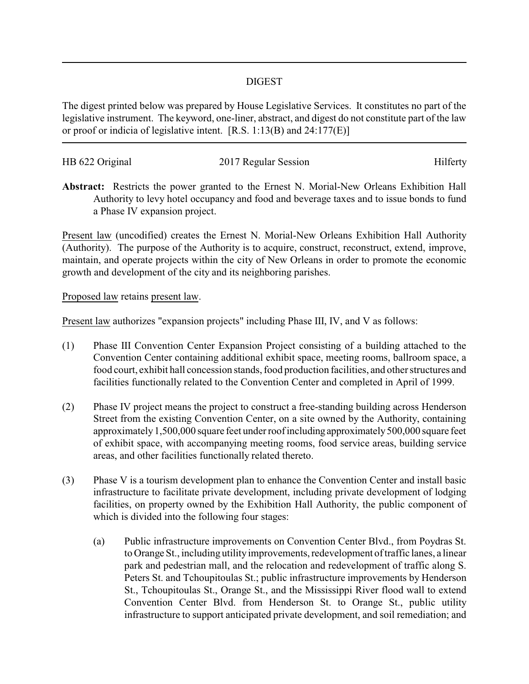## DIGEST

The digest printed below was prepared by House Legislative Services. It constitutes no part of the legislative instrument. The keyword, one-liner, abstract, and digest do not constitute part of the law or proof or indicia of legislative intent. [R.S. 1:13(B) and 24:177(E)]

| HB 622 Original | 2017 Regular Session | Hilferty |
|-----------------|----------------------|----------|
|                 |                      |          |

**Abstract:** Restricts the power granted to the Ernest N. Morial-New Orleans Exhibition Hall Authority to levy hotel occupancy and food and beverage taxes and to issue bonds to fund a Phase IV expansion project.

Present law (uncodified) creates the Ernest N. Morial-New Orleans Exhibition Hall Authority (Authority). The purpose of the Authority is to acquire, construct, reconstruct, extend, improve, maintain, and operate projects within the city of New Orleans in order to promote the economic growth and development of the city and its neighboring parishes.

Proposed law retains present law.

Present law authorizes "expansion projects" including Phase III, IV, and V as follows:

- (1) Phase III Convention Center Expansion Project consisting of a building attached to the Convention Center containing additional exhibit space, meeting rooms, ballroom space, a food court, exhibit hall concession stands, food production facilities, and other structures and facilities functionally related to the Convention Center and completed in April of 1999.
- (2) Phase IV project means the project to construct a free-standing building across Henderson Street from the existing Convention Center, on a site owned by the Authority, containing approximately 1,500,000 square feet under roof including approximately 500,000 square feet of exhibit space, with accompanying meeting rooms, food service areas, building service areas, and other facilities functionally related thereto.
- (3) Phase V is a tourism development plan to enhance the Convention Center and install basic infrastructure to facilitate private development, including private development of lodging facilities, on property owned by the Exhibition Hall Authority, the public component of which is divided into the following four stages:
	- (a) Public infrastructure improvements on Convention Center Blvd., from Poydras St. to Orange St., including utility improvements, redevelopment of traffic lanes, a linear park and pedestrian mall, and the relocation and redevelopment of traffic along S. Peters St. and Tchoupitoulas St.; public infrastructure improvements by Henderson St., Tchoupitoulas St., Orange St., and the Mississippi River flood wall to extend Convention Center Blvd. from Henderson St. to Orange St., public utility infrastructure to support anticipated private development, and soil remediation; and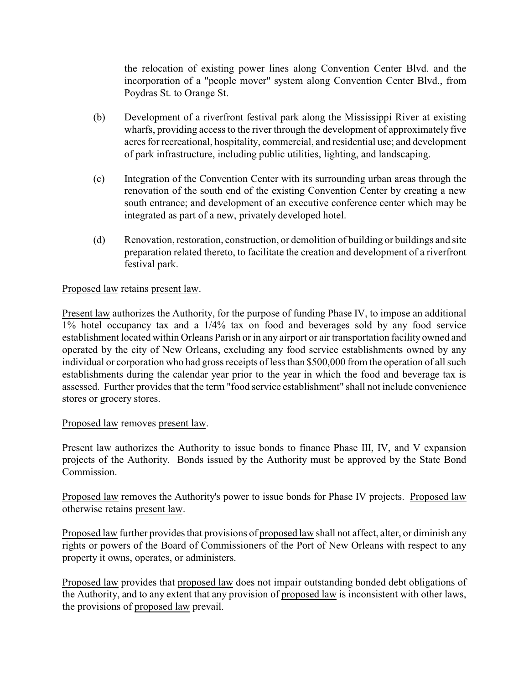the relocation of existing power lines along Convention Center Blvd. and the incorporation of a "people mover" system along Convention Center Blvd., from Poydras St. to Orange St.

- (b) Development of a riverfront festival park along the Mississippi River at existing wharfs, providing access to the river through the development of approximately five acres for recreational, hospitality, commercial, and residential use; and development of park infrastructure, including public utilities, lighting, and landscaping.
- (c) Integration of the Convention Center with its surrounding urban areas through the renovation of the south end of the existing Convention Center by creating a new south entrance; and development of an executive conference center which may be integrated as part of a new, privately developed hotel.
- (d) Renovation, restoration, construction, or demolition of building or buildings and site preparation related thereto, to facilitate the creation and development of a riverfront festival park.

## Proposed law retains present law.

Present law authorizes the Authority, for the purpose of funding Phase IV, to impose an additional 1% hotel occupancy tax and a 1/4% tax on food and beverages sold by any food service establishment located within Orleans Parish or in any airport or air transportation facility owned and operated by the city of New Orleans, excluding any food service establishments owned by any individual or corporation who had gross receipts of less than \$500,000 from the operation of all such establishments during the calendar year prior to the year in which the food and beverage tax is assessed. Further provides that the term "food service establishment" shall not include convenience stores or grocery stores.

## Proposed law removes present law.

Present law authorizes the Authority to issue bonds to finance Phase III, IV, and V expansion projects of the Authority. Bonds issued by the Authority must be approved by the State Bond Commission.

Proposed law removes the Authority's power to issue bonds for Phase IV projects. Proposed law otherwise retains present law.

Proposed law further provides that provisions of proposed law shall not affect, alter, or diminish any rights or powers of the Board of Commissioners of the Port of New Orleans with respect to any property it owns, operates, or administers.

Proposed law provides that proposed law does not impair outstanding bonded debt obligations of the Authority, and to any extent that any provision of proposed law is inconsistent with other laws, the provisions of proposed law prevail.